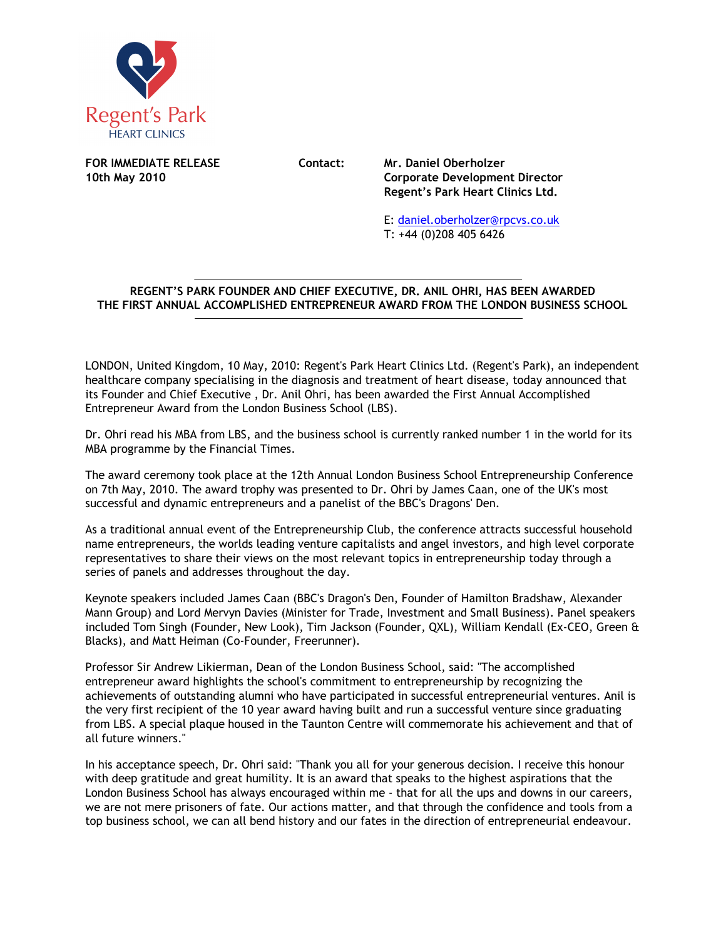

**FOR IMMEDIATE RELEASE Contact: Mr. Daniel Oberholzer** 

**10th May 2010 Corporate Development Director Regent's Park Heart Clinics Ltd.** 

> E: daniel.oberholzer@rpcvs.co.uk T: +44 (0)208 405 6426

## **REGENT'S PARK FOUNDER AND CHIEF EXECUTIVE, DR. ANIL OHRI, HAS BEEN AWARDED THE FIRST ANNUAL ACCOMPLISHED ENTREPRENEUR AWARD FROM THE LONDON BUSINESS SCHOOL**   $\overline{a}$

LONDON, United Kingdom, 10 May, 2010: Regent's Park Heart Clinics Ltd. (Regent's Park), an independent healthcare company specialising in the diagnosis and treatment of heart disease, today announced that its Founder and Chief Executive , Dr. Anil Ohri, has been awarded the First Annual Accomplished Entrepreneur Award from the London Business School (LBS).

Dr. Ohri read his MBA from LBS, and the business school is currently ranked number 1 in the world for its MBA programme by the Financial Times.

The award ceremony took place at the 12th Annual London Business School Entrepreneurship Conference on 7th May, 2010. The award trophy was presented to Dr. Ohri by James Caan, one of the UK's most successful and dynamic entrepreneurs and a panelist of the BBC's Dragons' Den.

As a traditional annual event of the Entrepreneurship Club, the conference attracts successful household name entrepreneurs, the worlds leading venture capitalists and angel investors, and high level corporate representatives to share their views on the most relevant topics in entrepreneurship today through a series of panels and addresses throughout the day.

Keynote speakers included James Caan (BBC's Dragon's Den, Founder of Hamilton Bradshaw, Alexander Mann Group) and Lord Mervyn Davies (Minister for Trade, Investment and Small Business). Panel speakers included Tom Singh (Founder, New Look), Tim Jackson (Founder, QXL), William Kendall (Ex-CEO, Green & Blacks), and Matt Heiman (Co-Founder, Freerunner).

Professor Sir Andrew Likierman, Dean of the London Business School, said: "The accomplished entrepreneur award highlights the school's commitment to entrepreneurship by recognizing the achievements of outstanding alumni who have participated in successful entrepreneurial ventures. Anil is the very first recipient of the 10 year award having built and run a successful venture since graduating from LBS. A special plaque housed in the Taunton Centre will commemorate his achievement and that of all future winners."

In his acceptance speech, Dr. Ohri said: "Thank you all for your generous decision. I receive this honour with deep gratitude and great humility. It is an award that speaks to the highest aspirations that the London Business School has always encouraged within me - that for all the ups and downs in our careers, we are not mere prisoners of fate. Our actions matter, and that through the confidence and tools from a top business school, we can all bend history and our fates in the direction of entrepreneurial endeavour.